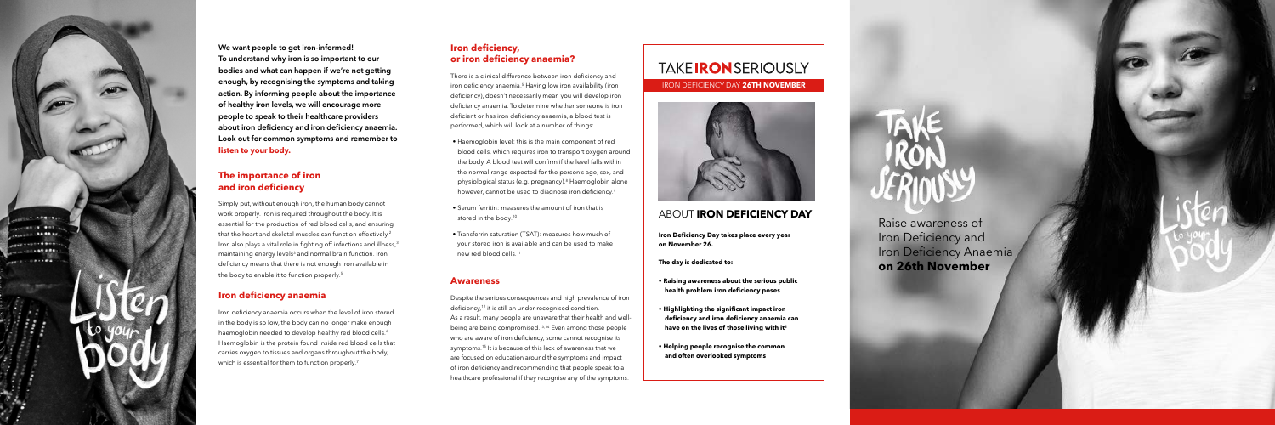............ **CENTRADOR** 100108-008

**ALL CORPORA** 

We want people to get iron-informed! To understand why iron is so important to our bodies and what can happen if we're not getting enough, by recognising the symptoms and taking action. By informing people about the importance of healthy iron levels, we will encourage more people to speak to their healthcare providers about iron deficiency and iron deficiency anaemia. Look out for common symptoms and remember to **listen to your body.**

Simply put, without enough iron, the human body cannot work properly. Iron is required throughout the body. It is essential for the production of red blood cells, and ensuring that the heart and skeletal muscles can function effectively.<sup>2</sup> Iron also plays a vital role in fighting off infections and illness,<sup>3</sup> maintaining energy levels<sup>3</sup> and normal brain function. Iron deficiency means that there is not enough iron available in the body to enable it to function properly.<sup>5</sup>

# **The importance of iron and iron deficiency**

Iron deficiency anaemia occurs when the level of iron stored in the body is so low, the body can no longer make enough haemoglobin needed to develop healthy red blood cells.<sup>6</sup> Haemoglobin is the protein found inside red blood cells that carries oxygen to tissues and organs throughout the body, which is essential for them to function properly.<sup>7</sup>

# **Iron deficiency anaemia**

# **Iron deficiency, or iron deficiency anaemia?**

There is a clinical difference between iron deficiency and iron deficiency anaemia.<sup>5</sup> Having low iron availability (iron deficiency), doesn't necessarily mean you will develop iron deficiency anaemia. To determine whether someone is iron deficient or has iron deficiency anaemia, a blood test is performed, which will look at a number of things:

- Haemoglobin level: this is the main component of red blood cells, which requires iron to transport oxygen around the body. A blood test will confirm if the level falls within the normal range expected for the person's age, sex, and physiological status (e.g. pregnancy).<sup>8</sup> Haemoglobin alone however, cannot be used to diagnose iron deficiency.<sup>9</sup>
- Serum ferritin: measures the amount of iron that is stored in the body.<sup>10</sup>
- Transferrin saturation (TSAT): measures how much of your stored iron is available and can be used to make new red blood cells.11

## **Awareness**

Despite the serious consequences and high prevalence of iron deficiency,<sup>12</sup> it is still an under-recognised condition. As a result, many people are unaware that their health and wellbeing are being compromised.13,14 Even among those people who are aware of iron deficiency, some cannot recognise its symptoms.15 It is because of this lack of awareness that we are focused on education around the symptoms and impact of iron deficiency and recommending that people speak to a healthcare professional if they recognise any of the symptoms.

# **TAKEIRONSERIOUSLY**

IRON DEFICIENCY DAY **26TH NOVEMBER**



**Iron Deficiency Day takes place every year on November 26.** 

**The day is dedicated to:**

- **Raising awareness about the serious public health problem iron deficiency poses**
- **Highlighting the significant impact iron deficiency and iron deficiency anaemia can** have on the lives of those living with it<sup>1</sup>
- **Helping people recognise the common and often overlooked symptoms**



# ABOUT **IRON DEFICIENCY DAY**

Raise awareness of Iron Deficiency and Iron Deficiency Anaemia **on 26th November**